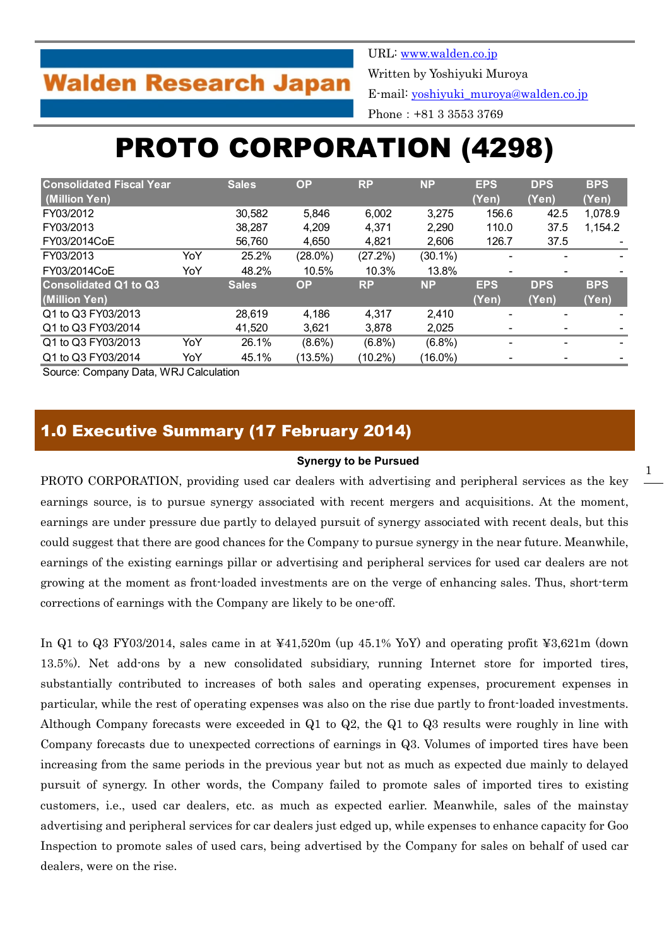# **Walden Research Japan**

URL: [www.walden.co.jp](http://www.walden.co.jp/) Written by Yoshiyuki Muroya E-mail: [yoshiyuki\\_muroya@walden.co.jp](mailto:yoshiyuki_muroya@walden.co.jp)

Phone:+81 3 3553 3769

# PROTO CORPORATION (4298)

| <b>Sales</b> | <b>OP</b>                | <b>RP</b>                        | <b>NP</b>  | <b>EPS</b> | <b>DPS</b> | <b>BPS</b> |
|--------------|--------------------------|----------------------------------|------------|------------|------------|------------|
|              |                          |                                  |            | (Yen)      | (Yen)      | (Yen)      |
| 30,582       | 5,846                    | 6,002                            | 3,275      | 156.6      | 42.5       | 1,078.9    |
| 38.287       | 4,209                    | 4,371                            | 2.290      | 110.0      | 37.5       | 1,154.2    |
| 56.760       | 4,650                    | 4,821                            | 2,606      | 126.7      | 37.5       |            |
|              | (28.0%)                  | (27.2%)                          | $(30.1\%)$ |            |            |            |
|              | 10.5%                    | 10.3%                            | 13.8%      |            |            |            |
| <b>Sales</b> | <b>OP</b>                | <b>RP</b>                        | <b>NP</b>  | <b>EPS</b> | <b>DPS</b> | <b>BPS</b> |
|              |                          |                                  |            | (Yen)      | (Yen)      | (Yen)      |
| 28.619       | 4,186                    | 4,317                            | 2.410      |            |            |            |
| 41,520       | 3,621                    | 3,878                            | 2,025      |            |            |            |
|              | $(8.6\%)$                | $(6.8\%)$                        | $(6.8\%)$  |            |            |            |
|              | $(13.5\%)$               | $(10.2\%)$                       | $(16.0\%)$ |            |            |            |
|              | YoY<br>YoY<br>YoY<br>YoY | 25.2%<br>48.2%<br>26.1%<br>45.1% |            |            |            |            |

Source: Company Data, WRJ Calculation

# 1.0 Executive Summary (17 February 2014)

#### **Synergy to be Pursued**

PROTO CORPORATION, providing used car dealers with advertising and peripheral services as the key earnings source, is to pursue synergy associated with recent mergers and acquisitions. At the moment, earnings are under pressure due partly to delayed pursuit of synergy associated with recent deals, but this could suggest that there are good chances for the Company to pursue synergy in the near future. Meanwhile, earnings of the existing earnings pillar or advertising and peripheral services for used car dealers are not growing at the moment as front-loaded investments are on the verge of enhancing sales. Thus, short-term corrections of earnings with the Company are likely to be one-off.

In Q1 to Q3 FY03/2014, sales came in at ¥41,520m (up 45.1% YoY) and operating profit ¥3,621m (down 13.5%). Net add-ons by a new consolidated subsidiary, running Internet store for imported tires, substantially contributed to increases of both sales and operating expenses, procurement expenses in particular, while the rest of operating expenses was also on the rise due partly to front-loaded investments. Although Company forecasts were exceeded in Q1 to Q2, the Q1 to Q3 results were roughly in line with Company forecasts due to unexpected corrections of earnings in Q3. Volumes of imported tires have been increasing from the same periods in the previous year but not as much as expected due mainly to delayed pursuit of synergy. In other words, the Company failed to promote sales of imported tires to existing customers, i.e., used car dealers, etc. as much as expected earlier. Meanwhile, sales of the mainstay advertising and peripheral services for car dealers just edged up, while expenses to enhance capacity for Goo Inspection to promote sales of used cars, being advertised by the Company for sales on behalf of used car dealers, were on the rise.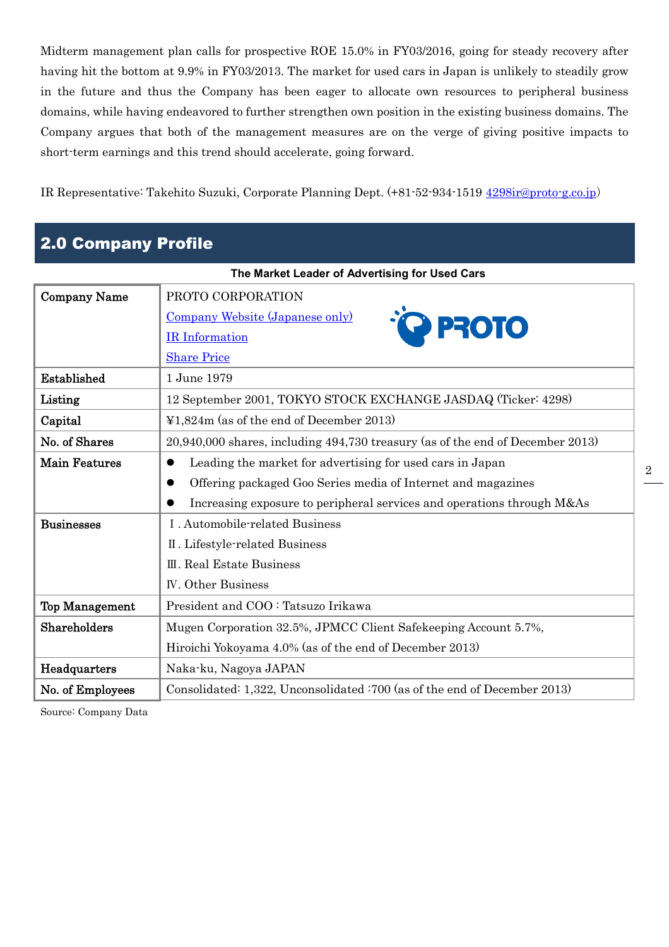Midterm management plan calls for prospective ROE 15.0% in FY03/2016, going for steady recovery after having hit the bottom at 9.9% in FY03/2013. The market for used cars in Japan is unlikely to steadily grow in the future and thus the Company has been eager to allocate own resources to peripheral business domains, while having endeavored to further strengthen own position in the existing business domains. The Company argues that both of the management measures are on the verge of giving positive impacts to short-term earnings and this trend should accelerate, going forward.

IR Representative: Takehito Suzuki, Corporate Planning Dept. (+81-52-934-1519 [4298ir@proto-g.co.jp](mailto:4298ir@proto-g.co.jp))

# 2.0 Company Profile

|                       | The Market Leader of Advertising for Used Cars                                 |
|-----------------------|--------------------------------------------------------------------------------|
| <b>Company Name</b>   | PROTO CORPORATION                                                              |
|                       | Company Website (Japanese only)                                                |
|                       | <b>C</b> PROTO<br><b>IR</b> Information                                        |
|                       | <b>Share Price</b>                                                             |
| Established           | 1 June 1979                                                                    |
| Listing               | 12 September 2001, TOKYO STOCK EXCHANGE JASDAQ (Ticker: 4298)                  |
| Capital               | $\text{\textsterling}1,824\text{m}$ (as of the end of December 2013)           |
| No. of Shares         | 20,940,000 shares, including 494,730 treasury (as of the end of December 2013) |
| <b>Main Features</b>  | Leading the market for advertising for used cars in Japan                      |
|                       | Offering packaged Goo Series media of Internet and magazines                   |
|                       | Increasing exposure to peripheral services and operations through M&As         |
| <b>Businesses</b>     | I. Automobile-related Business                                                 |
|                       | II. Lifestyle-related Business                                                 |
|                       | <b>III.</b> Real Estate Business                                               |
|                       | <b>IV.</b> Other Business                                                      |
| <b>Top Management</b> | President and COO: Tatsuzo Irikawa                                             |
| Shareholders          | Mugen Corporation 32.5%, JPMCC Client Safekeeping Account 5.7%,                |
|                       | Hiroichi Yokoyama 4.0% (as of the end of December 2013)                        |
| Headquarters          | Naka-ku, Nagoya JAPAN                                                          |
| No. of Employees      | Consolidated: 1,322, Unconsolidated: 700 (as of the end of December 2013)      |

Source: Company Data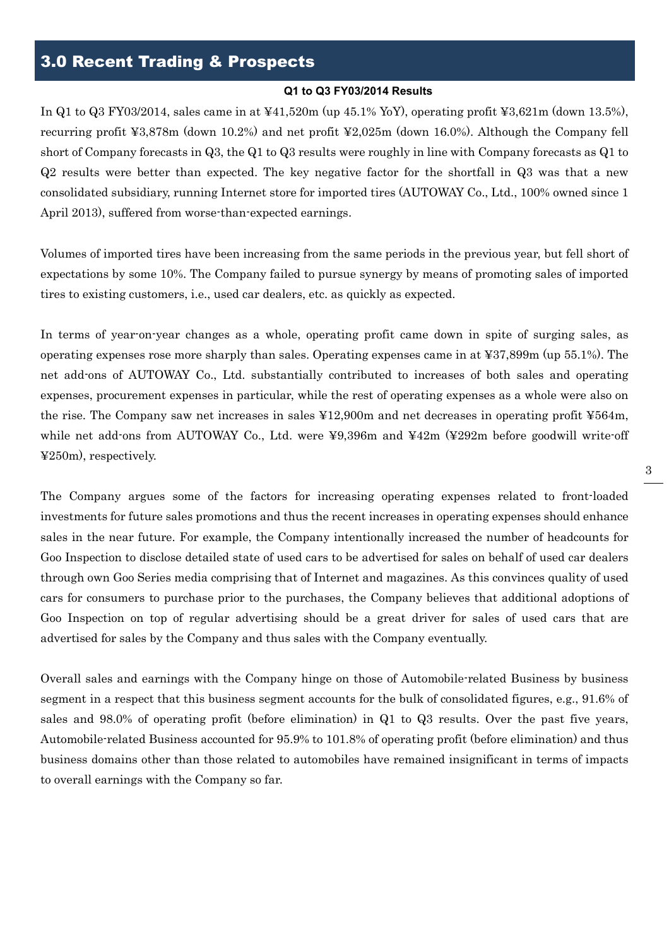# 3.0 Recent Trading & Prospects

#### **Q1 to Q3 FY03/2014 Results**

In Q1 to Q3 FY03/2014, sales came in at  $\frac{1}{41,520m}$  (up 45.1% YoY), operating profit  $\frac{1}{23,621m}$  (down 13.5%), recurring profit ¥3,878m (down 10.2%) and net profit ¥2,025m (down 16.0%). Although the Company fell short of Company forecasts in Q3, the Q1 to Q3 results were roughly in line with Company forecasts as Q1 to Q2 results were better than expected. The key negative factor for the shortfall in Q3 was that a new consolidated subsidiary, running Internet store for imported tires (AUTOWAY Co., Ltd., 100% owned since 1 April 2013), suffered from worse-than-expected earnings.

Volumes of imported tires have been increasing from the same periods in the previous year, but fell short of expectations by some 10%. The Company failed to pursue synergy by means of promoting sales of imported tires to existing customers, i.e., used car dealers, etc. as quickly as expected.

In terms of year-on-year changes as a whole, operating profit came down in spite of surging sales, as operating expenses rose more sharply than sales. Operating expenses came in at ¥37,899m (up 55.1%). The net add-ons of AUTOWAY Co., Ltd. substantially contributed to increases of both sales and operating expenses, procurement expenses in particular, while the rest of operating expenses as a whole were also on the rise. The Company saw net increases in sales ¥12,900m and net decreases in operating profit ¥564m, while net add-ons from AUTOWAY Co., Ltd. were ¥9,396m and ¥42m (¥292m before goodwill write-off ¥250m), respectively.

The Company argues some of the factors for increasing operating expenses related to front-loaded investments for future sales promotions and thus the recent increases in operating expenses should enhance sales in the near future. For example, the Company intentionally increased the number of headcounts for Goo Inspection to disclose detailed state of used cars to be advertised for sales on behalf of used car dealers through own Goo Series media comprising that of Internet and magazines. As this convinces quality of used cars for consumers to purchase prior to the purchases, the Company believes that additional adoptions of Goo Inspection on top of regular advertising should be a great driver for sales of used cars that are advertised for sales by the Company and thus sales with the Company eventually.

Overall sales and earnings with the Company hinge on those of Automobile-related Business by business segment in a respect that this business segment accounts for the bulk of consolidated figures, e.g., 91.6% of sales and 98.0% of operating profit (before elimination) in Q1 to Q3 results. Over the past five years, Automobile-related Business accounted for 95.9% to 101.8% of operating profit (before elimination) and thus business domains other than those related to automobiles have remained insignificant in terms of impacts to overall earnings with the Company so far.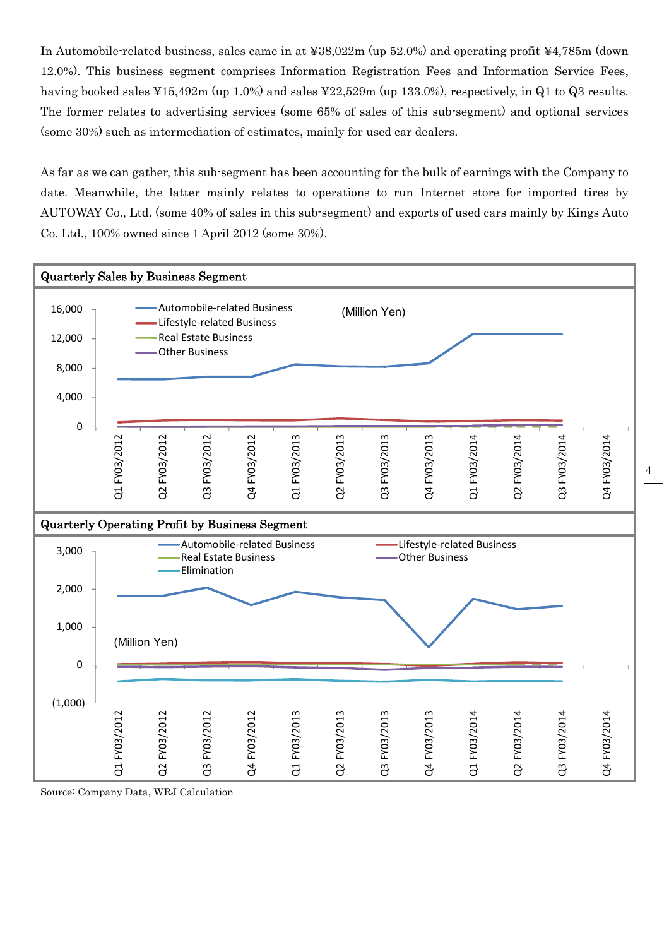In Automobile-related business, sales came in at ¥38,022m (up 52.0%) and operating profit ¥4,785m (down 12.0%). This business segment comprises Information Registration Fees and Information Service Fees, having booked sales ¥15,492m (up 1.0%) and sales ¥22,529m (up 133.0%), respectively, in Q1 to Q3 results. The former relates to advertising services (some 65% of sales of this sub-segment) and optional services (some 30%) such as intermediation of estimates, mainly for used car dealers.

As far as we can gather, this sub-segment has been accounting for the bulk of earnings with the Company to date. Meanwhile, the latter mainly relates to operations to run Internet store for imported tires by AUTOWAY Co., Ltd. (some 40% of sales in this sub-segment) and exports of used cars mainly by Kings Auto Co. Ltd., 100% owned since 1 April 2012 (some 30%).

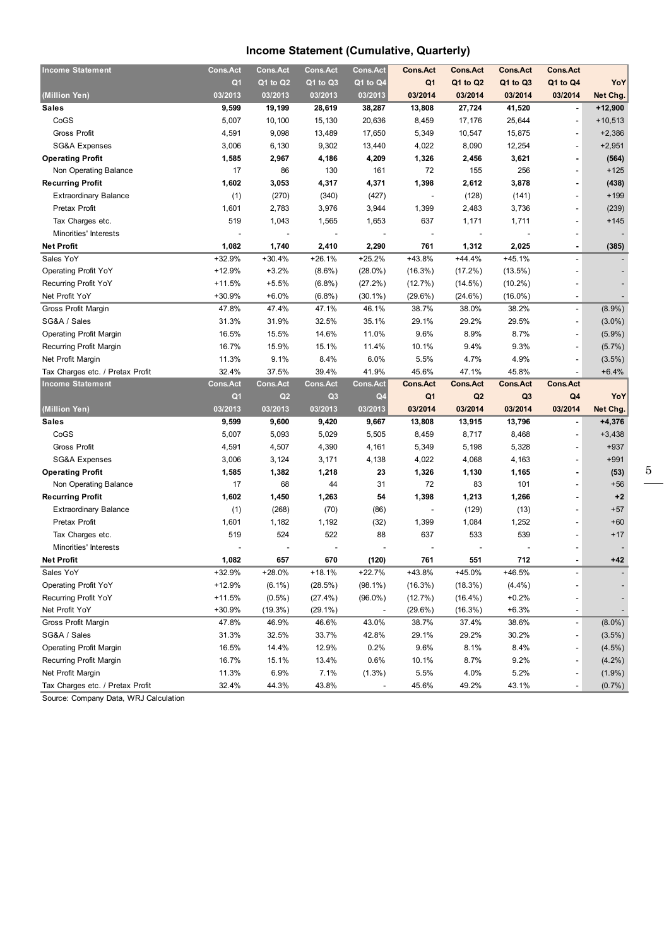## **Income Statement (Cumulative, Quarterly)**

| <b>Income Statement</b>                                     | <b>Cons.Act</b>          | <b>Cons.Act</b> | <b>Cons.Act</b> | <b>Cons.Act</b> | <b>Cons.Act</b>          | <b>Cons.Act</b>          | <b>Cons.Act</b>          | <b>Cons.Act</b>              |           |
|-------------------------------------------------------------|--------------------------|-----------------|-----------------|-----------------|--------------------------|--------------------------|--------------------------|------------------------------|-----------|
|                                                             | Q1                       | Q1 to Q2        | Q1 to Q3        | Q1 to Q4        | Q <sub>1</sub>           | Q1 to Q2                 | Q1 to Q3                 | Q1 to Q4                     | YoY       |
| (Million Yen)                                               | 03/2013                  | 03/2013         | 03/2013         | 03/2013         | 03/2014                  | 03/2014                  | 03/2014                  | 03/2014                      | Net Chg.  |
| <b>Sales</b>                                                | 9,599                    | 19,199          | 28,619          | 38,287          | 13,808                   | 27,724                   | 41,520                   | $\overline{\phantom{a}}$     | $+12,900$ |
| CoGS                                                        | 5,007                    | 10,100          | 15,130          | 20,636          | 8,459                    | 17,176                   | 25,644                   | $\overline{a}$               | $+10,513$ |
| <b>Gross Profit</b>                                         | 4,591                    | 9,098           | 13,489          | 17,650          | 5,349                    | 10,547                   | 15,875                   |                              | $+2,386$  |
| <b>SG&amp;A Expenses</b>                                    | 3,006                    | 6,130           | 9,302           | 13,440          | 4,022                    | 8,090                    | 12,254                   | $\overline{a}$               | $+2,951$  |
| <b>Operating Profit</b>                                     | 1,585                    | 2,967           | 4,186           | 4,209           | 1,326                    | 2,456                    | 3,621                    | ä,                           | (564)     |
| Non Operating Balance                                       | 17                       | 86              | 130             | 161             | 72                       | 155                      | 256                      |                              | $+125$    |
| <b>Recurring Profit</b>                                     | 1,602                    | 3,053           | 4,317           | 4,371           | 1,398                    | 2,612                    | 3,878                    | ä,                           | (438)     |
| <b>Extraordinary Balance</b>                                | (1)                      | (270)           | (340)           | (427)           |                          | (128)                    | (141)                    | $\overline{a}$               | $+199$    |
| Pretax Profit                                               | 1,601                    | 2,783           | 3,976           | 3,944           | 1,399                    | 2,483                    | 3,736                    | $\overline{a}$               | (239)     |
| Tax Charges etc.                                            | 519                      | 1,043           | 1,565           | 1,653           | 637                      | 1,171                    | 1,711                    | $\overline{a}$               | $+145$    |
| Minorities' Interests                                       |                          |                 |                 |                 |                          |                          |                          |                              |           |
| <b>Net Profit</b>                                           | 1,082                    | 1,740           | 2,410           | 2,290           | 761                      | 1,312                    | 2,025                    | $\blacksquare$               | (385)     |
| Sales YoY                                                   | $+32.9%$                 | $+30.4%$        | $+26.1%$        | $+25.2%$        | +43.8%                   | $+44.4%$                 | $+45.1%$                 | $\overline{\phantom{a}}$     |           |
| <b>Operating Profit YoY</b>                                 | $+12.9%$                 | $+3.2%$         | $(8.6\%)$       | $(28.0\%)$      | (16.3%)                  | (17.2%)                  | $(13.5\%)$               |                              |           |
| Recurring Profit YoY                                        | $+11.5%$                 | $+5.5%$         | (6.8%)          | $(27.2\%)$      | (12.7%)                  | $(14.5\%)$               | $(10.2\%)$               |                              |           |
| Net Profit YoY                                              | $+30.9%$                 | $+6.0%$         | (6.8%)          | $(30.1\%)$      | (29.6%)                  | (24.6%)                  | $(16.0\%)$               | $\overline{\phantom{a}}$     |           |
| Gross Profit Margin                                         | 47.8%                    | 47.4%           | 47.1%           | 46.1%           | 38.7%                    | 38.0%                    | 38.2%                    | $\overline{\phantom{a}}$     | $(8.9\%)$ |
| SG&A / Sales                                                | 31.3%                    | 31.9%           | 32.5%           | 35.1%           | 29.1%                    | 29.2%                    | 29.5%                    | $\overline{a}$               | $(3.0\%)$ |
| <b>Operating Profit Margin</b>                              | 16.5%                    | 15.5%           | 14.6%           | 11.0%           | 9.6%                     | 8.9%                     | 8.7%                     | $\overline{\phantom{a}}$     | $(5.9\%)$ |
| Recurring Profit Margin                                     | 16.7%                    | 15.9%           | 15.1%           | 11.4%           | 10.1%                    | 9.4%                     | 9.3%                     | $\overline{a}$               | $(5.7\%)$ |
| Net Profit Margin                                           | 11.3%                    | 9.1%            | 8.4%            | 6.0%            | 5.5%                     | 4.7%                     | 4.9%                     | $\overline{a}$               |           |
|                                                             |                          |                 |                 | 41.9%           |                          |                          |                          | $\overline{a}$               | $(3.5\%)$ |
| Tax Charges etc. / Pretax Profit<br><b>Income Statement</b> | 32.4%<br><b>Cons.Act</b> | 37.5%           | 39.4%           | <b>Cons.Act</b> | 45.6%<br><b>Cons.Act</b> | 47.1%<br><b>Cons.Act</b> | 45.8%<br><b>Cons.Act</b> | <b>Cons.Act</b>              | $+6.4%$   |
|                                                             |                          |                 |                 |                 |                          |                          |                          |                              |           |
|                                                             |                          | <b>Cons.Act</b> | <b>Cons.Act</b> |                 |                          |                          |                          |                              |           |
|                                                             | Q1                       | Q2              | Q3              | Q4              | Q <sub>1</sub>           | Q2                       | Q <sub>3</sub>           | Q <sub>4</sub>               | YoY       |
| (Million Yen)                                               | 03/2013                  | 03/2013         | 03/2013         | 03/2013         | 03/2014                  | 03/2014                  | 03/2014                  | 03/2014                      | Net Chg.  |
| <b>Sales</b>                                                | 9,599                    | 9,600           | 9,420           | 9,667           | 13,808                   | 13,915                   | 13,796                   |                              | $+4,376$  |
| CoGS                                                        | 5,007                    | 5,093           | 5,029           | 5,505           | 8,459                    | 8,717                    | 8,468                    | $\overline{a}$               | $+3,438$  |
| Gross Profit                                                | 4,591                    | 4,507           | 4,390           | 4,161           | 5,349                    | 5,198                    | 5,328                    |                              | $+937$    |
| <b>SG&amp;A Expenses</b>                                    | 3,006                    | 3,124           | 3,171           | 4,138           | 4,022                    | 4,068                    | 4,163                    | L,                           | $+991$    |
| <b>Operating Profit</b>                                     | 1,585                    | 1,382           | 1,218           | 23              | 1,326                    | 1,130                    | 1,165                    | ٠                            | (53)      |
| Non Operating Balance                                       | 17                       | 68              | 44              | 31              | 72                       | 83                       | 101                      | $\overline{a}$               | $+56$     |
| <b>Recurring Profit</b>                                     | 1,602                    | 1,450           | 1,263           | 54              | 1,398                    | 1,213                    | 1,266                    |                              | $+2$      |
| <b>Extraordinary Balance</b>                                | (1)                      | (268)           | (70)            | (86)            | $\overline{\phantom{a}}$ | (129)                    | (13)                     | ٠                            | $+57$     |
| Pretax Profit                                               | 1,601                    | 1,182           | 1,192           | (32)            | 1,399                    | 1,084                    | 1,252                    | $\overline{a}$               | $+60$     |
| Tax Charges etc.                                            | 519                      | 524             | 522             | 88              | 637                      | 533                      | 539                      | ٠                            | $+17$     |
| Minorities' Interests                                       |                          |                 |                 |                 |                          |                          |                          |                              |           |
| <b>Net Profit</b>                                           | 1,082                    | 657             | 670             | (120)           | 761                      | 551                      | 712                      | $\blacksquare$               | $+42$     |
| Sales YoY                                                   | $+32.9%$                 | $+28.0%$        | $+18.1%$        | $+22.7%$        | $+43.8%$                 | $+45.0%$                 | $+46.5%$                 |                              |           |
| <b>Operating Profit YoY</b>                                 | +12.9%                   | $(6.1\%)$       | (28.5%)         | $(98.1\%)$      | (16.3%)                  | (18.3%)                  | $(4.4\%)$                |                              |           |
| Recurring Profit YoY                                        | $+11.5%$                 | $(0.5\%)$       | $(27.4\%)$      | $(96.0\%)$      | (12.7%)                  | $(16.4\%)$               | $+0.2%$                  |                              |           |
| Net Profit YoY                                              | $+30.9%$                 | (19.3%)         | $(29.1\%)$      |                 | (29.6%)                  | (16.3%)                  | $+6.3%$                  | $\overline{\phantom{a}}$     |           |
| Gross Profit Margin                                         | 47.8%                    | 46.9%           | 46.6%           | 43.0%           | 38.7%                    | 37.4%                    | 38.6%                    | $\overline{\phantom{a}}$     | $(8.0\%)$ |
| SG&A / Sales                                                | 31.3%                    | 32.5%           | 33.7%           | 42.8%           | 29.1%                    | 29.2%                    | 30.2%                    | $\overline{a}$               | (3.5%)    |
| <b>Operating Profit Margin</b>                              | 16.5%                    | 14.4%           | 12.9%           | 0.2%            | 9.6%                     | 8.1%                     | 8.4%                     | $\qquad \qquad \blacksquare$ | $(4.5\%)$ |
| Recurring Profit Margin                                     | 16.7%                    | 15.1%           | 13.4%           | 0.6%            | 10.1%                    | 8.7%                     | 9.2%                     | $\overline{\phantom{a}}$     | $(4.2\%)$ |
| Net Profit Margin                                           | 11.3%                    | 6.9%            | 7.1%            | $(1.3\%)$       | 5.5%                     | 4.0%                     | 5.2%                     |                              | $(1.9\%)$ |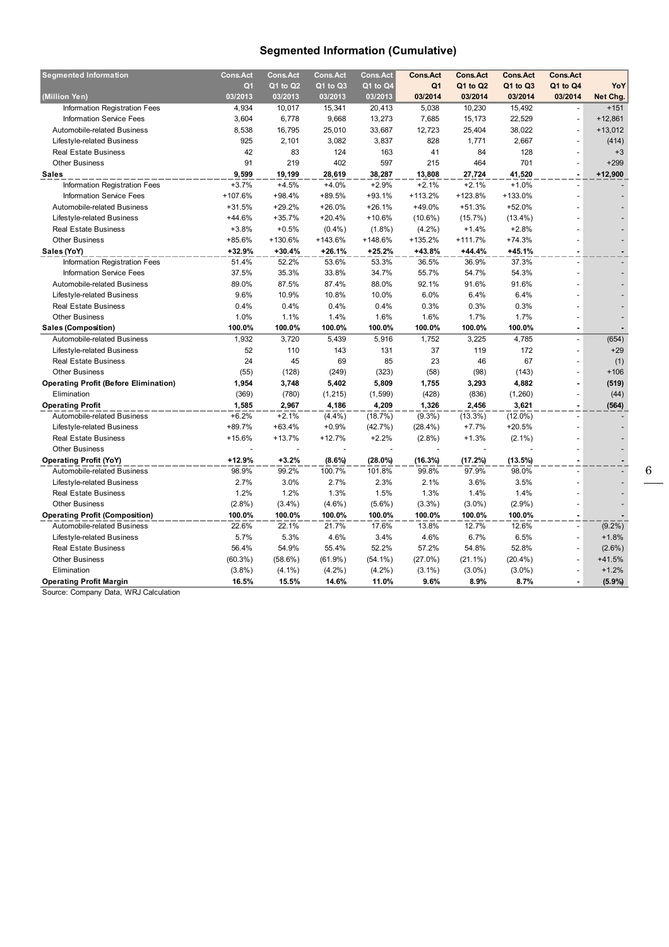## **Segmented Information (Cumulative)**

| <b>Segmented Information</b>                 | <b>Cons.Act</b> | <b>Cons.Act</b> | <b>Cons.Act</b> | <b>Cons.Act</b> | <b>Cons.Act</b> | <b>Cons.Act</b> | <b>Cons.Act</b> | <b>Cons.Act</b>          |           |
|----------------------------------------------|-----------------|-----------------|-----------------|-----------------|-----------------|-----------------|-----------------|--------------------------|-----------|
|                                              | Q <sub>1</sub>  | Q1 to Q2        | Q1 to Q3        | Q1 to Q4        | Q <sub>1</sub>  | Q1 to Q2        | Q1 to Q3        | Q1 to Q4                 | YoY       |
| (Million Yen)                                | 03/2013         | 03/2013         | 03/2013         | 03/2013         | 03/2014         | 03/2014         | 03/2014         | 03/2014                  | Net Chg.  |
| Information Registration Fees                | 4,934           | 10,017          | 15,341          | 20,413          | 5,038           | 10,230          | 15,492          |                          | $+151$    |
| <b>Information Service Fees</b>              | 3,604           | 6,778           | 9,668           | 13,273          | 7,685           | 15,173          | 22,529          | $\overline{a}$           | $+12,861$ |
| Automobile-related Business                  | 8,538           | 16,795          | 25,010          | 33,687          | 12,723          | 25,404          | 38,022          |                          | $+13,012$ |
| Lifestyle-related Business                   | 925             | 2,101           | 3,082           | 3,837           | 828             | 1,771           | 2,667           | $\overline{a}$           | (414)     |
| <b>Real Estate Business</b>                  | 42              | 83              | 124             | 163             | 41              | 84              | 128             |                          | $+3$      |
| <b>Other Business</b>                        | 91              | 219             | 402             | 597             | 215             | 464             | 701             | $\overline{a}$           | $+299$    |
| <b>Sales</b>                                 | 9.599           | 19,199          | 28,619          | 38,287          | 13,808          | 27,724          | 41,520          |                          | $+12,900$ |
| Information Registration Fees                | $+3.7%$         | $+4.5%$         | $+4.0%$         | $+2.9%$         | $+2.1%$         | $+2.1%$         | $+1.0%$         |                          |           |
| <b>Information Service Fees</b>              | +107.6%         | $+98.4%$        | $+89.5%$        | $+93.1%$        | $+113.2%$       | $+123.8%$       | +133.0%         |                          |           |
| Automobile-related Business                  | $+31.5%$        | $+29.2%$        | $+26.0%$        | $+26.1%$        | $+49.0%$        | $+51.3%$        | $+52.0%$        |                          |           |
| Lifestyle-related Business                   | $+44.6%$        | $+35.7%$        | $+20.4%$        | $+10.6%$        | $(10.6\%)$      | (15.7%)         | $(13.4\%)$      | $\overline{a}$           |           |
| <b>Real Estate Business</b>                  | $+3.8%$         | $+0.5%$         | $(0.4\%)$       | $(1.8\%)$       | $(4.2\%)$       | $+1.4%$         | $+2.8%$         |                          |           |
| <b>Other Business</b>                        | $+85.6%$        | +130.6%         | +143.6%         | +148.6%         | $+135.2%$       | +111.7%         | $+74.3%$        |                          |           |
| Sales (YoY)                                  | $+32.9%$        | $+30.4%$        | $+26.1%$        | $+25.2%$        | +43.8%          | $+44.4%$        | $+45.1%$        |                          |           |
| Information Registration Fees                | 51.4%           | 52.2%           | 53.6%           | 53.3%           | 36.5%           | 36.9%           | 37.3%           |                          |           |
| <b>Information Service Fees</b>              | 37.5%           | 35.3%           | 33.8%           | 34.7%           | 55.7%           | 54.7%           | 54.3%           |                          |           |
| Automobile-related Business                  | 89.0%           | 87.5%           | 87.4%           | 88.0%           | 92.1%           | 91.6%           | 91.6%           |                          |           |
| Lifestyle-related Business                   | 9.6%            | 10.9%           | 10.8%           | 10.0%           | 6.0%            | 6.4%            | 6.4%            |                          |           |
| <b>Real Estate Business</b>                  | 0.4%            | 0.4%            | 0.4%            | 0.4%            | 0.3%            | 0.3%            | 0.3%            |                          |           |
| <b>Other Business</b>                        | 1.0%            | 1.1%            | 1.4%            | 1.6%            | 1.6%            | 1.7%            | 1.7%            |                          |           |
| <b>Sales (Composition)</b>                   | 100.0%          | 100.0%          | 100.0%          | 100.0%          | 100.0%          | 100.0%          | 100.0%          | ä,                       |           |
| Automobile-related Business                  | 1,932           | 3,720           | 5,439           | 5,916           | 1,752           | 3,225           | 4,785           | $\overline{\phantom{a}}$ | (654)     |
| Lifestyle-related Business                   | 52              | 110             | 143             | 131             | 37              | 119             | 172             | $\overline{a}$           | $+29$     |
| <b>Real Estate Business</b>                  | 24              | 45              | 69              | 85              | 23              | 46              | 67              | $\overline{a}$           | (1)       |
| <b>Other Business</b>                        | (55)            | (128)           | (249)           | (323)           | (58)            | (98)            | (143)           | $\overline{a}$           | $+106$    |
| <b>Operating Profit (Before Elimination)</b> | 1,954           | 3,748           | 5,402           | 5,809           | 1,755           | 3,293           | 4,882           |                          | (519)     |
| Elimination                                  | (369)           | (780)           | (1, 215)        | (1, 599)        | (428)           | (836)           | (1,260)         |                          | (44)      |
| <b>Operating Profit</b>                      | 1,585           | 2,967           | 4,186           | 4,209           | 1,326           | 2,456           | 3,621           | ä,                       | (564)     |
| Automobile-related Business                  | $+6.2%$         | $+2.1%$         | $(4.4\%)$       | (18.7%)         | $(9.3\%)$       | $(13.3\%)$      | $(12.0\%)$      |                          |           |
| Lifestyle-related Business                   | $+89.7%$        | $+63.4%$        | $+0.9%$         | (42.7%)         | $(28.4\%)$      | $+7.7%$         | $+20.5%$        |                          |           |
| <b>Real Estate Business</b>                  | $+15.6%$        | $+13.7%$        | $+12.7%$        | $+2.2%$         | $(2.8\%)$       | $+1.3%$         | $(2.1\%)$       |                          |           |
| <b>Other Business</b>                        |                 |                 |                 |                 |                 |                 |                 |                          |           |
| <b>Operating Profit (YoY)</b>                | $+12.9%$        | $+3.2%$         | $(8.6\%)$       | $(28.0\%)$      | (16.3%)         | (17.2%)         | (13.5%)         | ä,                       |           |
| Automobile-related Business                  | 98.9%           | 99.2%           | 100.7%          | 101.8%          | 99.8%           | 97.9%           | 98.0%           |                          |           |
| Lifestyle-related Business                   | 2.7%            | 3.0%            | 2.7%            | 2.3%            | 2.1%            | 3.6%            | 3.5%            | $\overline{a}$           |           |
| <b>Real Estate Business</b>                  | 1.2%            | 1.2%            | 1.3%            | 1.5%            | 1.3%            | 1.4%            | 1.4%            |                          |           |
| <b>Other Business</b>                        | $(2.8\%)$       | $(3.4\%)$       | $(4.6\%)$       | $(5.6\%)$       | $(3.3\%)$       | $(3.0\%)$       | $(2.9\%)$       |                          |           |
| <b>Operating Profit (Composition)</b>        | 100.0%          | 100.0%          | 100.0%          | 100.0%          | 100.0%          | 100.0%          | 100.0%          |                          |           |
| Automobile-related Business                  | 22.6%           | 22.1%           | 21.7%           | 17.6%           | 13.8%           | 12.7%           | 12.6%           |                          | $(9.2\%)$ |
| Lifestyle-related Business                   | 5.7%            | 5.3%            | 4.6%            | 3.4%            | 4.6%            | 6.7%            | 6.5%            | $\overline{a}$           | $+1.8%$   |
| Real Estate Business                         | 56.4%           | 54.9%           | 55.4%           | 52.2%           | 57.2%           | 54.8%           | 52.8%           |                          | $(2.6\%)$ |
| <b>Other Business</b>                        | $(60.3\%)$      | $(58.6\%)$      | $(61.9\%)$      | $(54.1\%)$      | $(27.0\%)$      | $(21.1\%)$      | $(20.4\%)$      | $\overline{a}$           | $+41.5%$  |
| Elimination                                  | $(3.8\%)$       | $(4.1\%)$       | $(4.2\%)$       | $(4.2\%)$       | $(3.1\%)$       | $(3.0\%)$       | $(3.0\%)$       | $\overline{a}$           | $+1.2%$   |
| Operating Profit Margin                      | 16.5%           | 15.5%           | 14.6%           | 11.0%           | 9.6%            | 8.9%            | 8.7%            |                          | (5.9%)    |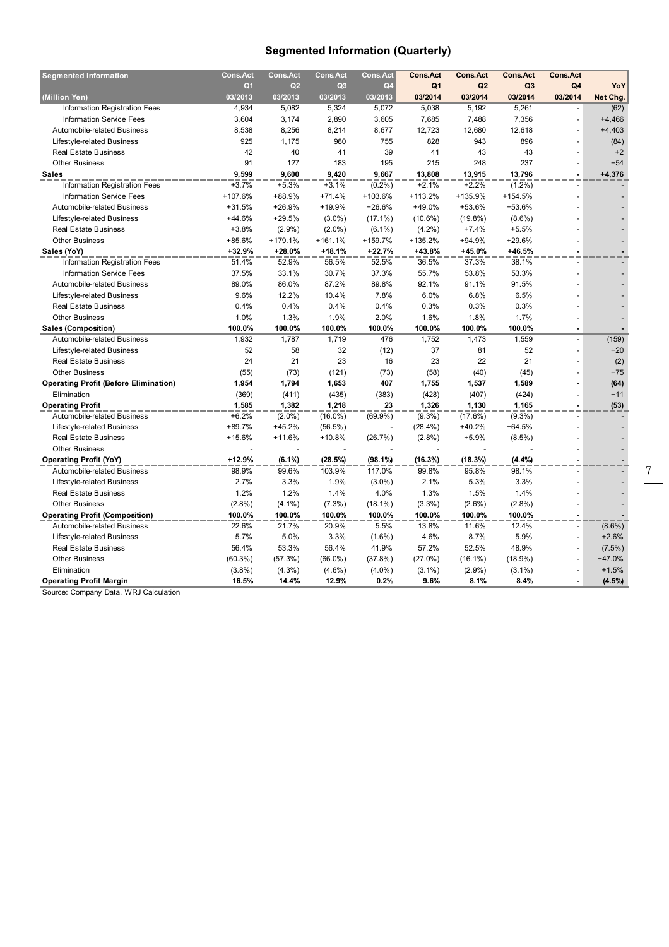## **Segmented Information (Quarterly)**

| <b>Segmented Information</b>                 | <b>Cons.Act</b> | <b>Cons.Act</b> | <b>Cons.Act</b> | <b>Cons.Act</b> | <b>Cons.Act</b> | <b>Cons.Act</b> | <b>Cons.Act</b> | <b>Cons.Act</b> |           |
|----------------------------------------------|-----------------|-----------------|-----------------|-----------------|-----------------|-----------------|-----------------|-----------------|-----------|
|                                              | Q <sub>1</sub>  | Q2              | Q <sub>3</sub>  | Q4              | Q <sub>1</sub>  | Q2              | Q <sub>3</sub>  | Q4              | YoY       |
| (Million Yen)                                | 03/2013         | 03/2013         | 03/2013         | 03/2013         | 03/2014         | 03/2014         | 03/2014         | 03/2014         | Net Chg.  |
| Information Registration Fees                | 4,934           | 5,082           | 5,324           | 5,072           | 5,038           | 5,192           | 5,261           |                 | (62)      |
| <b>Information Service Fees</b>              | 3,604           | 3,174           | 2,890           | 3,605           | 7,685           | 7,488           | 7,356           | $\overline{a}$  | $+4,466$  |
| Automobile-related Business                  | 8,538           | 8,256           | 8,214           | 8,677           | 12,723          | 12,680          | 12,618          | $\overline{a}$  | $+4,403$  |
| Lifestyle-related Business                   | 925             | 1,175           | 980             | 755             | 828             | 943             | 896             | $\overline{a}$  | (84)      |
| <b>Real Estate Business</b>                  | 42              | 40              | 41              | 39              | 41              | 43              | 43              |                 | $+2$      |
| <b>Other Business</b>                        | 91              | 127             | 183             | 195             | 215             | 248             | 237             | $\overline{a}$  | $+54$     |
| <b>Sales</b>                                 | 9,599           | 9,600           | 9,420           | 9,667           | 13,808          | 13,915          | 13,796          | ÷               | $+4,376$  |
| Information Registration Fees                | $+3.7%$         | $+5.3%$         | $+3.1%$         | $(0.2\%)$       | $+2.1%$         | $+2.2%$         | $(1.2\%)$       |                 |           |
| <b>Information Service Fees</b>              | +107.6%         | +88.9%          | $+71.4%$        | +103.6%         | $+113.2%$       | +135.9%         | $+154.5%$       |                 |           |
| Automobile-related Business                  | $+31.5%$        | $+26.9%$        | +19.9%          | $+26.6%$        | $+49.0%$        | $+53.6%$        | +53.6%          |                 |           |
| Lifestyle-related Business                   | $+44.6%$        | $+29.5%$        | $(3.0\%)$       | $(17.1\%)$      | $(10.6\%)$      | $(19.8\%)$      | $(8.6\%)$       |                 |           |
| <b>Real Estate Business</b>                  | $+3.8%$         | $(2.9\%)$       | $(2.0\%)$       | $(6.1\%)$       | $(4.2\%)$       | $+7.4%$         | $+5.5%$         |                 |           |
| <b>Other Business</b>                        | $+85.6%$        | $+179.1%$       | $+161.1%$       | +159.7%         | $+135.2%$       | $+94.9%$        | +29.6%          | $\overline{a}$  |           |
| Sales (YoY)                                  | $+32.9%$        | $+28.0%$        | $+18.1%$        | $+22.7%$        | +43.8%          | $+45.0%$        | $+46.5%$        |                 |           |
| Information Registration Fees                | 51.4%           | 52.9%           | 56.5%           | 52.5%           | 36.5%           | 37.3%           | 38.1%           |                 |           |
| <b>Information Service Fees</b>              | 37.5%           | 33.1%           | 30.7%           | 37.3%           | 55.7%           | 53.8%           | 53.3%           | $\overline{a}$  |           |
| Automobile-related Business                  | 89.0%           | 86.0%           | 87.2%           | 89.8%           | 92.1%           | 91.1%           | 91.5%           |                 |           |
| Lifestyle-related Business                   | 9.6%            | 12.2%           | 10.4%           | 7.8%            | 6.0%            | 6.8%            | 6.5%            |                 |           |
| <b>Real Estate Business</b>                  | 0.4%            | 0.4%            | 0.4%            | 0.4%            | 0.3%            | 0.3%            | 0.3%            |                 |           |
| <b>Other Business</b>                        | 1.0%            | 1.3%            | 1.9%            | 2.0%            | 1.6%            | 1.8%            | 1.7%            |                 |           |
| <b>Sales (Composition)</b>                   | 100.0%          | 100.0%          | 100.0%          | 100.0%          | 100.0%          | 100.0%          | 100.0%          |                 |           |
| <b>Automobile-related Business</b>           | 1,932           | 1,787           | 1,719           | 476             | 1,752           | 1,473           | 1,559           | $\overline{a}$  | (159)     |
| Lifestyle-related Business                   | 52              | 58              | 32              | (12)            | 37              | 81              | 52              | $\overline{a}$  | $+20$     |
| <b>Real Estate Business</b>                  | 24              | 21              | 23              | 16              | 23              | 22              | 21              |                 | (2)       |
| <b>Other Business</b>                        | (55)            | (73)            | (121)           | (73)            | (58)            | (40)            | (45)            |                 | $+75$     |
| <b>Operating Profit (Before Elimination)</b> | 1,954           | 1,794           | 1,653           | 407             | 1,755           | 1,537           | 1,589           | ٠               | (64)      |
| Elimination                                  | (369)           | (411)           | (435)           | (383)           | (428)           | (407)           | (424)           |                 | $+11$     |
| <b>Operating Profit</b>                      | 1,585           | 1,382           | 1,218           | 23              | 1,326           | 1,130           | 1,165           | ä,              | (53)      |
| Automobile-related Business                  | $+6.2%$         | $(2.0\%)$       | $(16.0\%)$      | $(69.9\%)$      | $(9.3\%)$       | (17.6%)         | $(9.3\%)$       |                 |           |
| Lifestyle-related Business                   | $+89.7%$        | $+45.2%$        | $(56.5\%)$      |                 | $(28.4\%)$      | $+40.2%$        | $+64.5%$        | $\overline{a}$  |           |
| <b>Real Estate Business</b>                  | $+15.6%$        | $+11.6%$        | $+10.8%$        | (26.7%)         | $(2.8\%)$       | $+5.9%$         | $(8.5\%)$       |                 |           |
| <b>Other Business</b>                        |                 |                 |                 |                 |                 |                 |                 |                 |           |
| <b>Operating Profit (YoY)</b>                | $+12.9%$        | $(6.1\%)$       | (28.5%)         | $(98.1\%)$      | (16.3%)         | (18.3%)         | (4.4%           |                 |           |
| Automobile-related Business                  | 98.9%           | 99.6%           | 103.9%          | 117.0%          | 99.8%           | 95.8%           | 98.1%           |                 |           |
| Lifestyle-related Business                   | 2.7%            | 3.3%            | 1.9%            | $(3.0\%)$       | 2.1%            | 5.3%            | 3.3%            | $\overline{a}$  |           |
| <b>Real Estate Business</b>                  | 1.2%            | 1.2%            | 1.4%            | 4.0%            | 1.3%            | 1.5%            | 1.4%            |                 |           |
| <b>Other Business</b>                        | $(2.8\%)$       | $(4.1\%)$       | $(7.3\%)$       | $(18.1\%)$      | $(3.3\%)$       | $(2.6\%)$       | $(2.8\%)$       |                 |           |
| <b>Operating Profit (Composition)</b>        | 100.0%          | 100.0%          | 100.0%          | 100.0%          | 100.0%          | 100.0%          | 100.0%          |                 |           |
| Automobile-related Business                  | 22.6%           | 21.7%           | 20.9%           | 5.5%            | 13.8%           | 11.6%           | 12.4%           |                 | $(8.6\%)$ |
| Lifestyle-related Business                   | 5.7%            | 5.0%            | 3.3%            | $(1.6\%)$       | 4.6%            | 8.7%            | 5.9%            | $\overline{a}$  | $+2.6%$   |
| <b>Real Estate Business</b>                  | 56.4%           | 53.3%           | 56.4%           | 41.9%           | 57.2%           | 52.5%           | 48.9%           | $\overline{a}$  | $(7.5\%)$ |
| <b>Other Business</b>                        | $(60.3\%)$      | (57.3%)         | $(66.0\%)$      | $(37.8\%)$      | $(27.0\%)$      | $(16.1\%)$      | $(18.9\%)$      | $\overline{a}$  | $+47.0%$  |
| Elimination                                  | $(3.8\%)$       | $(4.3\%)$       | $(4.6\%)$       | $(4.0\%)$       | $(3.1\%)$       | $(2.9\%)$       | $(3.1\%)$       | $\overline{a}$  | $+1.5%$   |
| Operating Profit Margin                      | 16.5%           | 14.4%           | 12.9%           | 0.2%            | 9.6%            | 8.1%            | 8.4%            |                 | $(4.5\%)$ |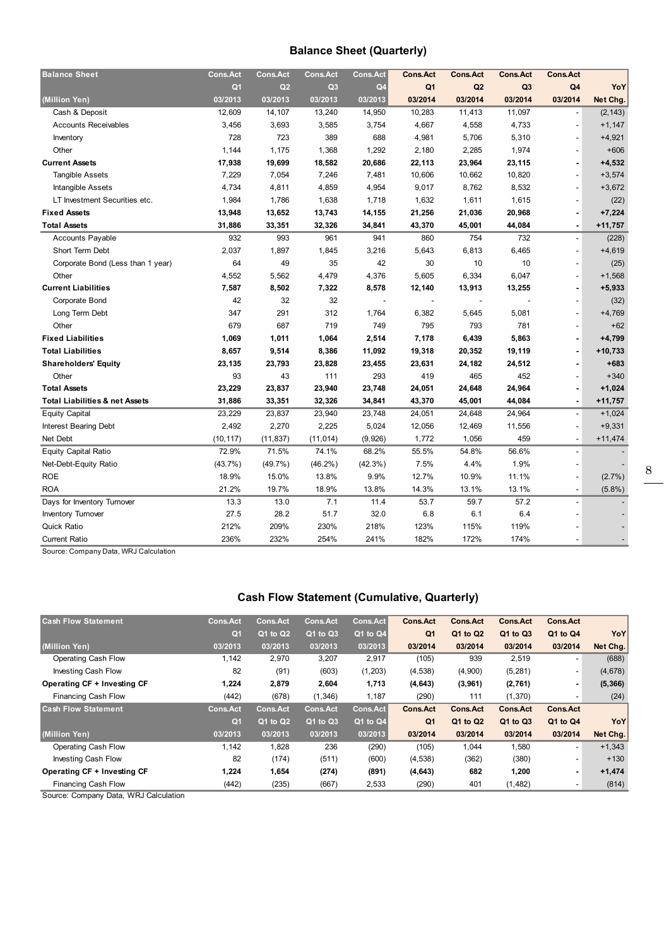## **Balance Sheet (Quarterly)**

| <b>Balance Sheet</b>                      | <b>Cons.Act</b> | <b>Cons.Act</b> | <b>Cons.Act</b> | <b>Cons.Act</b> | <b>Cons.Act</b> | <b>Cons.Act</b> | <b>Cons.Act</b> | <b>Cons.Act</b>          |           |
|-------------------------------------------|-----------------|-----------------|-----------------|-----------------|-----------------|-----------------|-----------------|--------------------------|-----------|
|                                           | Q1              | Q2              | Q <sub>3</sub>  | Q <sub>4</sub>  | Q <sub>1</sub>  | Q2              | Q <sub>3</sub>  | Q4                       | YoY       |
| (Million Yen)                             | 03/2013         | 03/2013         | 03/2013         | 03/2013         | 03/2014         | 03/2014         | 03/2014         | 03/2014                  | Net Chg.  |
| Cash & Deposit                            | 12,609          | 14,107          | 13,240          | 14,950          | 10,283          | 11,413          | 11,097          |                          | (2, 143)  |
| <b>Accounts Receivables</b>               | 3,456           | 3,693           | 3,585           | 3,754           | 4,667           | 4,558           | 4,733           | $\overline{a}$           | $+1,147$  |
| Inventory                                 | 728             | 723             | 389             | 688             | 4,981           | 5,706           | 5,310           | $\overline{a}$           | $+4,921$  |
| Other                                     | 1,144           | 1,175           | 1,368           | 1,292           | 2,180           | 2,285           | 1,974           | ÷,                       | $+606$    |
| <b>Current Assets</b>                     | 17,938          | 19,699          | 18,582          | 20,686          | 22,113          | 23,964          | 23,115          | ÷,                       | $+4,532$  |
| <b>Tangible Assets</b>                    | 7,229           | 7,054           | 7,246           | 7,481           | 10,606          | 10,662          | 10,820          |                          | $+3,574$  |
| Intangible Assets                         | 4,734           | 4,811           | 4,859           | 4,954           | 9,017           | 8,762           | 8,532           | $\overline{a}$           | $+3,672$  |
| LT Investment Securities etc.             | 1,984           | 1,786           | 1,638           | 1,718           | 1,632           | 1,611           | 1,615           | $\overline{a}$           | (22)      |
| <b>Fixed Assets</b>                       | 13,948          | 13,652          | 13,743          | 14,155          | 21,256          | 21,036          | 20,968          |                          | $+7,224$  |
| <b>Total Assets</b>                       | 31,886          | 33,351          | 32,326          | 34,841          | 43,370          | 45,001          | 44,084          | $\blacksquare$           | $+11,757$ |
| Accounts Payable                          | 932             | 993             | 961             | 941             | 860             | 754             | 732             | $\overline{\phantom{a}}$ | (228)     |
| Short Term Debt                           | 2,037           | 1,897           | 1,845           | 3,216           | 5,643           | 6,813           | 6,465           | $\overline{a}$           | $+4,619$  |
| Corporate Bond (Less than 1 year)         | 64              | 49              | 35              | 42              | 30              | 10              | 10              |                          | (25)      |
| Other                                     | 4,552           | 5,562           | 4,479           | 4,376           | 5,605           | 6,334           | 6,047           | $\overline{a}$           | $+1,568$  |
| <b>Current Liabilities</b>                | 7,587           | 8,502           | 7,322           | 8,578           | 12,140          | 13,913          | 13,255          | ٠                        | $+5,933$  |
| Corporate Bond                            | 42              | 32              | 32              |                 |                 |                 |                 |                          | (32)      |
| Long Term Debt                            | 347             | 291             | 312             | 1,764           | 6,382           | 5,645           | 5,081           | $\overline{a}$           | $+4,769$  |
| Other                                     | 679             | 687             | 719             | 749             | 795             | 793             | 781             | $\overline{\phantom{a}}$ | $+62$     |
| <b>Fixed Liabilities</b>                  | 1,069           | 1,011           | 1,064           | 2,514           | 7,178           | 6,439           | 5,863           |                          | $+4,799$  |
| <b>Total Liabilities</b>                  | 8,657           | 9,514           | 8,386           | 11,092          | 19,318          | 20,352          | 19,119          |                          | $+10,733$ |
| <b>Shareholders' Equity</b>               | 23,135          | 23,793          | 23,828          | 23,455          | 23,631          | 24,182          | 24,512          |                          | $+683$    |
| Other                                     | 93              | 43              | 111             | 293             | 419             | 465             | 452             | $\overline{\phantom{a}}$ | $+340$    |
| <b>Total Assets</b>                       | 23,229          | 23,837          | 23,940          | 23,748          | 24,051          | 24,648          | 24,964          | $\blacksquare$           | $+1,024$  |
| <b>Total Liabilities &amp; net Assets</b> | 31,886          | 33,351          | 32,326          | 34,841          | 43,370          | 45,001          | 44,084          | $\blacksquare$           | $+11,757$ |
| <b>Equity Capital</b>                     | 23,229          | 23,837          | 23,940          | 23,748          | 24,051          | 24,648          | 24,964          | $\overline{a}$           | $+1,024$  |
| Interest Bearing Debt                     | 2,492           | 2,270           | 2,225           | 5,024           | 12,056          | 12,469          | 11,556          | $\overline{a}$           | $+9,331$  |
| Net Debt                                  | (10, 117)       | (11, 837)       | (11, 014)       | (9,926)         | 1,772           | 1,056           | 459             | $\overline{\phantom{a}}$ | $+11,474$ |
| <b>Equity Capital Ratio</b>               | 72.9%           | 71.5%           | 74.1%           | 68.2%           | 55.5%           | 54.8%           | 56.6%           |                          |           |
| Net-Debt-Equity Ratio                     | $(43.7\%)$      | $(49.7\%)$      | $(46.2\%)$      | $(42.3\%)$      | 7.5%            | 4.4%            | 1.9%            |                          |           |
| <b>ROE</b>                                | 18.9%           | 15.0%           | 13.8%           | 9.9%            | 12.7%           | 10.9%           | 11.1%           | $\overline{a}$           | $(2.7\%)$ |
| <b>ROA</b>                                | 21.2%           | 19.7%           | 18.9%           | 13.8%           | 14.3%           | 13.1%           | 13.1%           | $\overline{\phantom{a}}$ | $(5.8\%)$ |
| Days for Inventory Turnover               | 13.3            | 13.0            | 7.1             | 11.4            | 53.7            | 59.7            | 57.2            | $\overline{a}$           |           |
| Inventory Turnover                        | 27.5            | 28.2            | 51.7            | 32.0            | 6.8             | 6.1             | 6.4             |                          |           |
| <b>Quick Ratio</b>                        | 212%            | 209%            | 230%            | 218%            | 123%            | 115%            | 119%            |                          |           |
| <b>Current Ratio</b>                      | 236%            | 232%            | 254%            | 241%            | 182%            | 172%            | 174%            |                          |           |
|                                           |                 |                 |                 |                 |                 |                 |                 |                          |           |

Source: Company Data, WRJ Calculation

### **Cash Flow Statement (Cumulative, Quarterly)**

| <b>Cash Flow Statement</b>  | <b>Cons.Act</b> | Cons.Act        | <b>Cons.Act</b> | <b>Cons.Act</b> | <b>Cons.Act</b> | <b>Cons.Act</b> | <b>Cons.Act</b> | <b>Cons.Act</b>          |          |
|-----------------------------|-----------------|-----------------|-----------------|-----------------|-----------------|-----------------|-----------------|--------------------------|----------|
|                             | Q <sub>1</sub>  | Q1 to Q2        | Q1 to Q3        | Q1 to Q4        | Q <sub>1</sub>  | Q1 to Q2        | Q1 to Q3        | Q1 to Q4                 | YoY      |
| (Million Yen)               | 03/2013         | 03/2013         | 03/2013         | 03/2013         | 03/2014         | 03/2014         | 03/2014         | 03/2014                  | Net Chg. |
| Operating Cash Flow         | 1,142           | 2,970           | 3,207           | 2,917           | (105)           | 939             | 2,519           | $\overline{\phantom{0}}$ | (688)    |
| Investing Cash Flow         | 82              | (91)            | (603)           | (1, 203)        | (4,538)         | (4,900)         | (5,281)         | ۰                        | (4,678)  |
| Operating CF + Investing CF | 1,224           | 2,879           | 2,604           | 1,713           | (4, 643)        | (3,961)         | (2,761)         | ٠                        | (5, 366) |
| Financing Cash Flow         | (442)           | (678)           | (1, 346)        | 1,187           | (290)           | 111             | (1,370)         | ٠                        | (24)     |
| <b>Cash Flow Statement</b>  | <b>Cons.Act</b> | <b>Cons.Act</b> | <b>Cons.Act</b> | <b>Cons.Act</b> | <b>Cons.Act</b> | <b>Cons.Act</b> | <b>Cons.Act</b> | <b>Cons.Act</b>          |          |
|                             | Q <sub>1</sub>  | Q1 to Q2        | Q1 to Q3        | Q1 to Q4        | Q <sub>1</sub>  | Q1 to Q2        | Q1 to Q3        | Q1 to Q4                 | YoY      |
| (Million Yen)               | 03/2013         | 03/2013         | 03/2013         | 03/2013         | 03/2014         | 03/2014         | 03/2014         | 03/2014                  | Net Chg. |
| Operating Cash Flow         | 1,142           | 1,828           | 236             | (290)           | (105)           | 1,044           | 1,580           | ۰                        | $+1,343$ |
| Investing Cash Flow         | 82              | (174)           | (511)           | (600)           | (4, 538)        | (362)           | (380)           | ۰                        | $+130$   |
| Operating CF + Investing CF | 1,224           | 1,654           | (274)           | (891)           | (4, 643)        | 682             | 1,200           | ۰.                       | $+1,474$ |
| Financing Cash Flow         | (442)           | (235)           | (667)           | 2,533           | (290)           | 401             | (1,482)         | ٠                        | (814)    |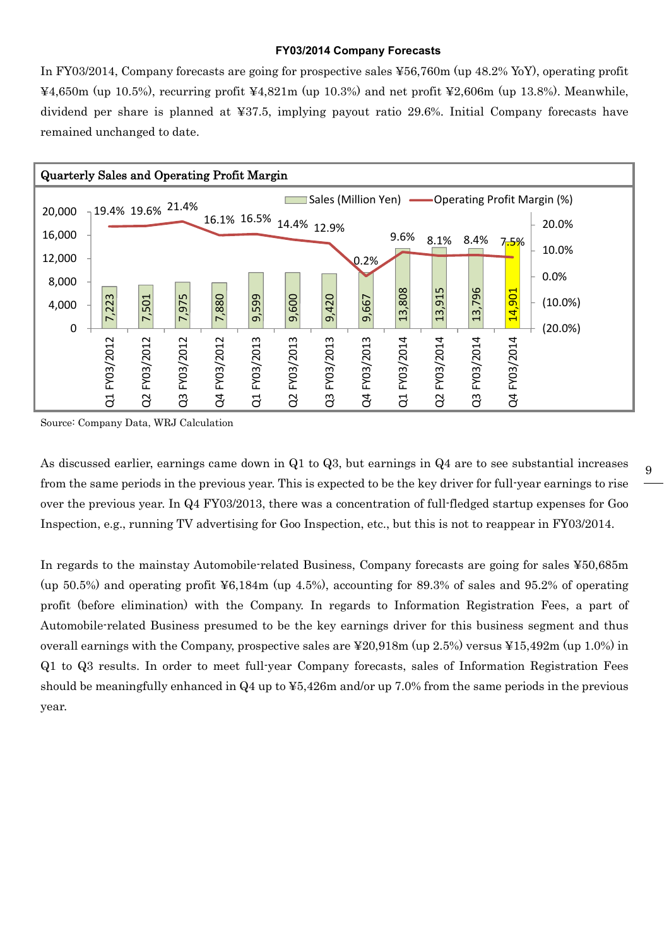#### **FY03/2014 Company Forecasts**

In FY03/2014, Company forecasts are going for prospective sales ¥56,760m (up 48.2% YoY), operating profit  $\text{\textsterling}4,650\text{m}$  (up 10.5%), recurring profit  $\text{\textsterling}4,821\text{m}$  (up 10.3%) and net profit  $\text{\textsterling}2,606\text{m}$  (up 13.8%). Meanwhile, dividend per share is planned at ¥37.5, implying payout ratio 29.6%. Initial Company forecasts have remained unchanged to date.



Source: Company Data, WRJ Calculation

As discussed earlier, earnings came down in  $Q1$  to  $Q3$ , but earnings in  $Q4$  are to see substantial increases from the same periods in the previous year. This is expected to be the key driver for full-year earnings to rise over the previous year. In Q4 FY03/2013, there was a concentration of full-fledged startup expenses for Goo Inspection, e.g., running TV advertising for Goo Inspection, etc., but this is not to reappear in FY03/2014.

In regards to the mainstay Automobile-related Business, Company forecasts are going for sales ¥50,685m (up 50.5%) and operating profit  $\frac{1}{2}6,184$ m (up 4.5%), accounting for 89.3% of sales and 95.2% of operating profit (before elimination) with the Company. In regards to Information Registration Fees, a part of Automobile-related Business presumed to be the key earnings driver for this business segment and thus overall earnings with the Company, prospective sales are ¥20,918m (up 2.5%) versus ¥15,492m (up 1.0%) in Q1 to Q3 results. In order to meet full-year Company forecasts, sales of Information Registration Fees should be meaningfully enhanced in Q4 up to ¥5,426m and/or up 7.0% from the same periods in the previous year.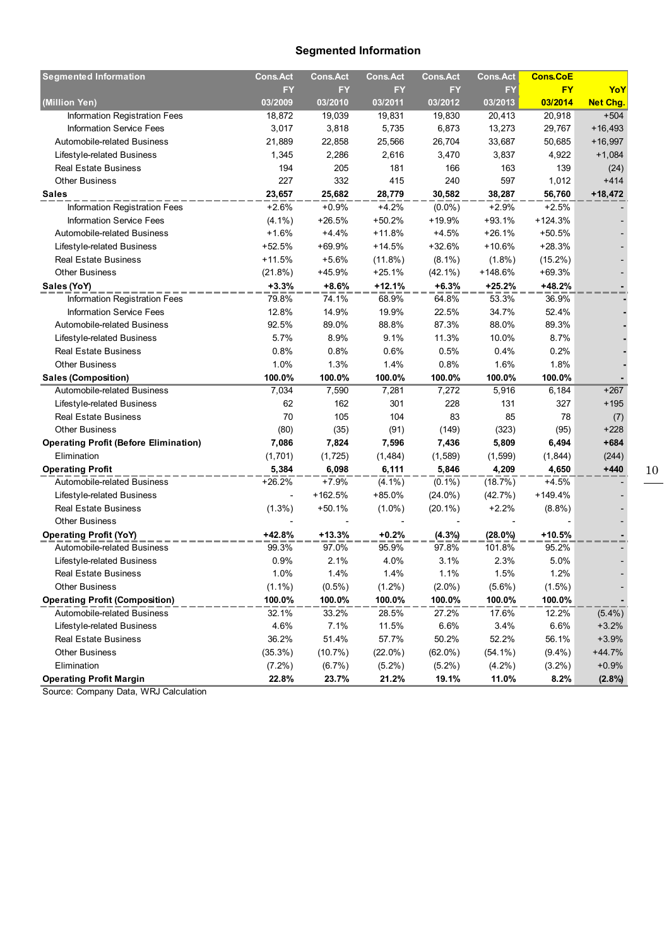## **Segmented Information**

| <b>Segmented Information</b>                 | <b>Cons.Act</b> | <b>Cons.Act</b> | <b>Cons.Act</b> | <b>Cons.Act</b> | <b>Cons.Act</b> | <b>Cons.CoE</b> |                 |
|----------------------------------------------|-----------------|-----------------|-----------------|-----------------|-----------------|-----------------|-----------------|
|                                              | <b>FY</b>       | <b>FY</b>       | <b>FY</b>       | <b>FY</b>       | <b>FY</b>       | <b>FY</b>       | YoY             |
| (Million Yen)                                | 03/2009         | 03/2010         | 03/2011         | 03/2012         | 03/2013         | 03/2014         | <b>Net Chg.</b> |
| Information Registration Fees                | 18,872          | 19,039          | 19,831          | 19,830          | 20,413          | 20,918          | $+504$          |
| <b>Information Service Fees</b>              | 3,017           | 3,818           | 5,735           | 6,873           | 13,273          | 29,767          | $+16,493$       |
| Automobile-related Business                  | 21,889          | 22,858          | 25,566          | 26,704          | 33,687          | 50,685          | $+16,997$       |
| Lifestyle-related Business                   | 1,345           | 2,286           | 2,616           | 3,470           | 3,837           | 4,922           | $+1,084$        |
| <b>Real Estate Business</b>                  | 194             | 205             | 181             | 166             | 163             | 139             | (24)            |
| <b>Other Business</b>                        | 227             | 332             | 415             | 240             | 597             | 1,012           | $+414$          |
| <b>Sales</b>                                 | 23,657          | 25,682          | 28,779          | 30,582          | 38,287          | 56,760          | $+18,472$       |
| Information Registration Fees                | $+2.6%$         | $+0.9%$         | $+4.2%$         | $(0.0\%)$       | $+2.9%$         | $+2.5%$         |                 |
| <b>Information Service Fees</b>              | $(4.1\%)$       | $+26.5%$        | $+50.2%$        | +19.9%          | $+93.1%$        | $+124.3%$       |                 |
| Automobile-related Business                  | $+1.6%$         | $+4.4%$         | $+11.8%$        | $+4.5%$         | $+26.1%$        | $+50.5%$        |                 |
| Lifestyle-related Business                   | $+52.5%$        | $+69.9%$        | $+14.5%$        | $+32.6%$        | $+10.6%$        | $+28.3%$        |                 |
| <b>Real Estate Business</b>                  | $+11.5%$        | $+5.6%$         | $(11.8\%)$      | $(8.1\%)$       | $(1.8\%)$       | $(15.2\%)$      |                 |
| <b>Other Business</b>                        | (21.8%)         | +45.9%          | $+25.1%$        | $(42.1\%)$      | +148.6%         | $+69.3%$        |                 |
| Sales (YoY)                                  | $+3.3%$         | $+8.6%$         | $+12.1%$        | $+6.3%$         | $+25.2%$        | $+48.2%$        |                 |
| Information Registration Fees                | 79.8%           | 74.1%           | 68.9%           | 64.8%           | 53.3%           | 36.9%           |                 |
| <b>Information Service Fees</b>              | 12.8%           | 14.9%           | 19.9%           | 22.5%           | 34.7%           | 52.4%           |                 |
| Automobile-related Business                  | 92.5%           | 89.0%           | 88.8%           | 87.3%           | 88.0%           | 89.3%           |                 |
| Lifestyle-related Business                   | 5.7%            | 8.9%            | 9.1%            | 11.3%           | 10.0%           | 8.7%            |                 |
| <b>Real Estate Business</b>                  | 0.8%            | 0.8%            | 0.6%            | 0.5%            | 0.4%            | 0.2%            |                 |
| <b>Other Business</b>                        | 1.0%            | 1.3%            | 1.4%            | 0.8%            | 1.6%            | 1.8%            |                 |
| <b>Sales (Composition)</b>                   | 100.0%          | 100.0%          | 100.0%          | 100.0%          | 100.0%          | 100.0%          |                 |
| Automobile-related Business                  | 7,034           | 7,590           | 7,281           | 7,272           | 5,916           | 6,184           | $+267$          |
| Lifestyle-related Business                   | 62              | 162             | 301             | 228             | 131             | 327             | $+195$          |
| <b>Real Estate Business</b>                  | 70              | 105             | 104             | 83              | 85              | 78              | (7)             |
| <b>Other Business</b>                        | (80)            | (35)            | (91)            | (149)           | (323)           | (95)            | $+228$          |
| <b>Operating Profit (Before Elimination)</b> | 7,086           | 7,824           | 7,596           | 7,436           | 5,809           | 6,494           | $+684$          |
| Elimination                                  | (1,701)         | (1, 725)        | (1, 484)        | (1, 589)        | (1, 599)        | (1,844)         | (244)           |
| <b>Operating Profit</b>                      | 5,384           | 6,098           | 6,111           | 5,846           | 4,209           | 4,650           | $+440$          |
| Automobile-related Business                  | $+26.2%$        | $+7.9%$         | $(4.1\%)$       | $(0.1\%)$       | $(18.7\%)$      | $+4.5%$         |                 |
| Lifestyle-related Business                   |                 | $+162.5%$       | $+85.0%$        | $(24.0\%)$      | (42.7%)         | $+149.4%$       |                 |
| <b>Real Estate Business</b>                  | $(1.3\%)$       | $+50.1%$        | $(1.0\%)$       | $(20.1\%)$      | $+2.2%$         | $(8.8\%)$       |                 |
| <b>Other Business</b>                        |                 |                 |                 |                 |                 |                 |                 |
| <b>Operating Profit (YoY)</b>                | $+42.8%$        | $+13.3%$        | $+0.2%$         | $(4.3\%)$       | $(28.0\%)$      | $+10.5%$        |                 |
| Automobile-related Business                  | 99.3%           | 97.0%           | 95.9%           | 97.8%           | 101.8%          | 95.2%           |                 |
| Lifestyle-related Business                   | 0.9%            | 2.1%            | 4.0%            | 3.1%            | 2.3%            | 5.0%            |                 |
| <b>Real Estate Business</b>                  | 1.0%            | 1.4%            | 1.4%            | 1.1%            | 1.5%            | 1.2%            |                 |
| Other Business                               | $(1.1\%)$       | $(0.5\%)$       | $(1.2\%)$       | $(2.0\%)$       | $(5.6\%)$       | $(1.5\%)$       |                 |
| <b>Operating Profit (Composition)</b>        | 100.0%          | 100.0%          | 100.0%          | 100.0%          | 100.0%          | 100.0%          |                 |
| Automobile-related Business                  | 32.1%           | 33.2%           | 28.5%           | 27.2%           | 17.6%           | 12.2%           | $(5.4\%)$       |
| Lifestyle-related Business                   | 4.6%            | 7.1%            | 11.5%           | 6.6%            | 3.4%            | 6.6%            | $+3.2%$         |
| <b>Real Estate Business</b>                  | 36.2%           | 51.4%           | 57.7%           | 50.2%           | 52.2%           | 56.1%           | $+3.9%$         |
| Other Business                               | $(35.3\%)$      | (10.7%)         | $(22.0\%)$      | $(62.0\%)$      | $(54.1\%)$      | $(9.4\%)$       | $+44.7%$        |
| Elimination                                  | $(7.2\%)$       | $(6.7\%)$       | $(5.2\%)$       | $(5.2\%)$       | $(4.2\%)$       | $(3.2\%)$       | $+0.9%$         |
| <b>Operating Profit Margin</b>               | 22.8%           | 23.7%           | 21.2%           | 19.1%           | 11.0%           | 8.2%            | (2.8%)          |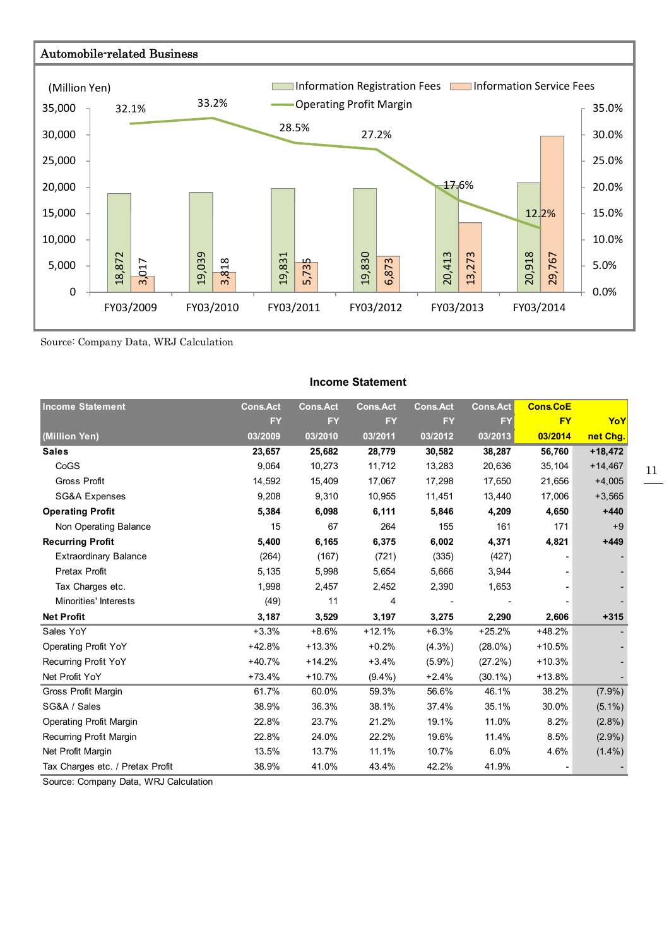

Source: Company Data, WRJ Calculation

#### **Income Statement**

| <b>Income Statement</b>          | <b>Cons.Act</b> | <b>Cons.Act</b> | <b>Cons.Act</b> | <b>Cons.Act</b> | <b>Cons.Act</b> | <b>Cons.CoE</b> |           |
|----------------------------------|-----------------|-----------------|-----------------|-----------------|-----------------|-----------------|-----------|
|                                  | <b>FY</b>       | <b>FY</b>       | <b>FY</b>       | <b>FY</b>       | EY              | <b>FY</b>       | YoY       |
| (Million Yen)                    | 03/2009         | 03/2010         | 03/2011         | 03/2012         | 03/2013         | 03/2014         | net Chg.  |
| <b>Sales</b>                     | 23,657          | 25,682          | 28,779          | 30,582          | 38,287          | 56,760          | $+18,472$ |
| CoGS                             | 9,064           | 10,273          | 11,712          | 13,283          | 20,636          | 35,104          | $+14,467$ |
| <b>Gross Profit</b>              | 14,592          | 15,409          | 17,067          | 17,298          | 17,650          | 21,656          | $+4,005$  |
| SG&A Expenses                    | 9,208           | 9,310           | 10,955          | 11,451          | 13,440          | 17,006          | $+3,565$  |
| <b>Operating Profit</b>          | 5,384           | 6,098           | 6,111           | 5,846           | 4,209           | 4,650           | $+440$    |
| Non Operating Balance            | 15              | 67              | 264             | 155             | 161             | 171             | $+9$      |
| <b>Recurring Profit</b>          | 5,400           | 6,165           | 6,375           | 6,002           | 4,371           | 4,821           | $+449$    |
| <b>Extraordinary Balance</b>     | (264)           | (167)           | (721)           | (335)           | (427)           |                 |           |
| Pretax Profit                    | 5,135           | 5,998           | 5,654           | 5,666           | 3,944           |                 |           |
| Tax Charges etc.                 | 1,998           | 2,457           | 2,452           | 2,390           | 1,653           |                 |           |
| Minorities' Interests            | (49)            | 11              | 4               |                 |                 |                 |           |
| <b>Net Profit</b>                | 3,187           | 3,529           | 3,197           | 3,275           | 2,290           | 2,606           | $+315$    |
| Sales YoY                        | $+3.3%$         | $+8.6%$         | $+12.1%$        | $+6.3%$         | $+25.2%$        | $+48.2%$        |           |
| <b>Operating Profit YoY</b>      | $+42.8%$        | $+13.3%$        | $+0.2%$         | $(4.3\%)$       | $(28.0\%)$      | $+10.5%$        |           |
| Recurring Profit YoY             | $+40.7%$        | $+14.2%$        | $+3.4%$         | $(5.9\%)$       | (27.2%)         | $+10.3%$        |           |
| Net Profit YoY                   | $+73.4%$        | $+10.7%$        | $(9.4\%)$       | $+2.4%$         | $(30.1\%)$      | $+13.8%$        |           |
| Gross Profit Margin              | 61.7%           | 60.0%           | 59.3%           | 56.6%           | 46.1%           | 38.2%           | $(7.9\%)$ |
| SG&A / Sales                     | 38.9%           | 36.3%           | 38.1%           | 37.4%           | 35.1%           | 30.0%           | $(5.1\%)$ |
| <b>Operating Profit Margin</b>   | 22.8%           | 23.7%           | 21.2%           | 19.1%           | 11.0%           | 8.2%            | $(2.8\%)$ |
| Recurring Profit Margin          | 22.8%           | 24.0%           | 22.2%           | 19.6%           | 11.4%           | 8.5%            | $(2.9\%)$ |
| Net Profit Margin                | 13.5%           | 13.7%           | 11.1%           | 10.7%           | 6.0%            | 4.6%            | $(1.4\%)$ |
| Tax Charges etc. / Pretax Profit | 38.9%           | 41.0%           | 43.4%           | 42.2%           | 41.9%           |                 |           |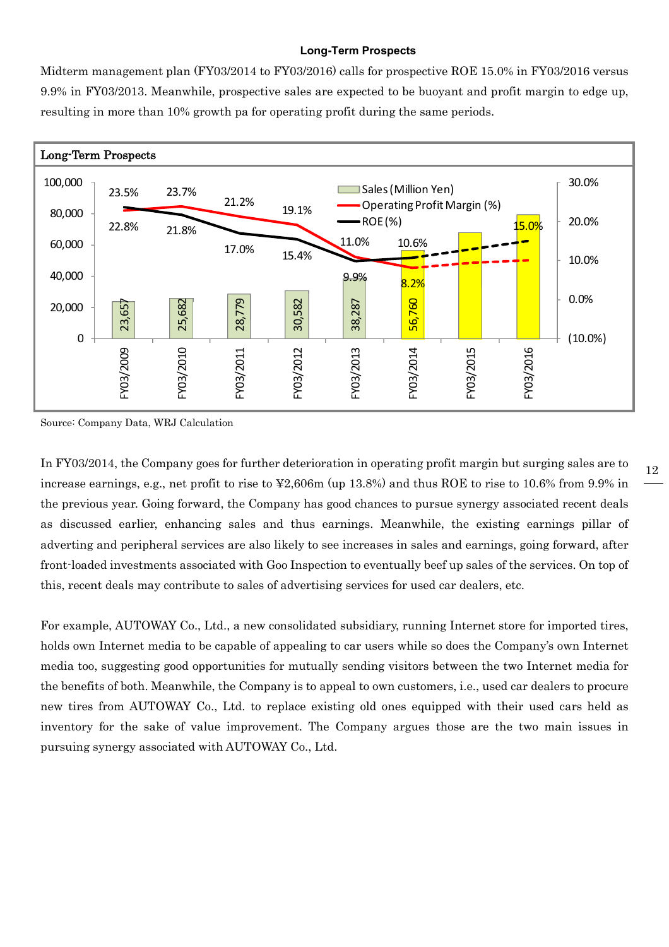#### **Long-Term Prospects**

Midterm management plan (FY03/2014 to FY03/2016) calls for prospective ROE 15.0% in FY03/2016 versus 9.9% in FY03/2013. Meanwhile, prospective sales are expected to be buoyant and profit margin to edge up, resulting in more than 10% growth pa for operating profit during the same periods.



Source: Company Data, WRJ Calculation

In FY03/2014, the Company goes for further deterioration in operating profit margin but surging sales are to increase earnings, e.g., net profit to rise to ¥2,606m (up 13.8%) and thus ROE to rise to 10.6% from 9.9% in the previous year. Going forward, the Company has good chances to pursue synergy associated recent deals as discussed earlier, enhancing sales and thus earnings. Meanwhile, the existing earnings pillar of adverting and peripheral services are also likely to see increases in sales and earnings, going forward, after front-loaded investments associated with Goo Inspection to eventually beef up sales of the services. On top of this, recent deals may contribute to sales of advertising services for used car dealers, etc.

For example, AUTOWAY Co., Ltd., a new consolidated subsidiary, running Internet store for imported tires, holds own Internet media to be capable of appealing to car users while so does the Company's own Internet media too, suggesting good opportunities for mutually sending visitors between the two Internet media for the benefits of both. Meanwhile, the Company is to appeal to own customers, i.e., used car dealers to procure new tires from AUTOWAY Co., Ltd. to replace existing old ones equipped with their used cars held as inventory for the sake of value improvement. The Company argues those are the two main issues in pursuing synergy associated with AUTOWAY Co., Ltd.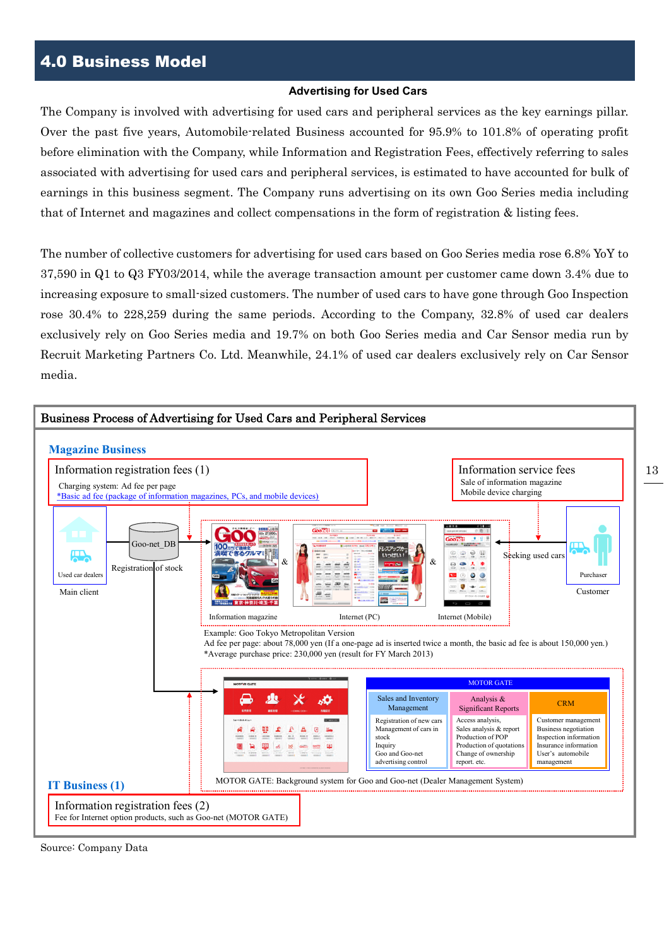# 4.0 Business Model

### **Advertising for Used Cars**

The Company is involved with advertising for used cars and peripheral services as the key earnings pillar. Over the past five years, Automobile-related Business accounted for 95.9% to 101.8% of operating profit before elimination with the Company, while Information and Registration Fees, effectively referring to sales associated with advertising for used cars and peripheral services, is estimated to have accounted for bulk of earnings in this business segment. The Company runs advertising on its own Goo Series media including that of Internet and magazines and collect compensations in the form of registration & listing fees.

The number of collective customers for advertising for used cars based on Goo Series media rose 6.8% YoY to 37,590 in Q1 to Q3 FY03/2014, while the average transaction amount per customer came down 3.4% due to increasing exposure to small-sized customers. The number of used cars to have gone through Goo Inspection rose 30.4% to 228,259 during the same periods. According to the Company, 32.8% of used car dealers exclusively rely on Goo Series media and 19.7% on both Goo Series media and Car Sensor media run by Recruit Marketing Partners Co. Ltd. Meanwhile, 24.1% of used car dealers exclusively rely on Car Sensor media.

13



Source: Company Data